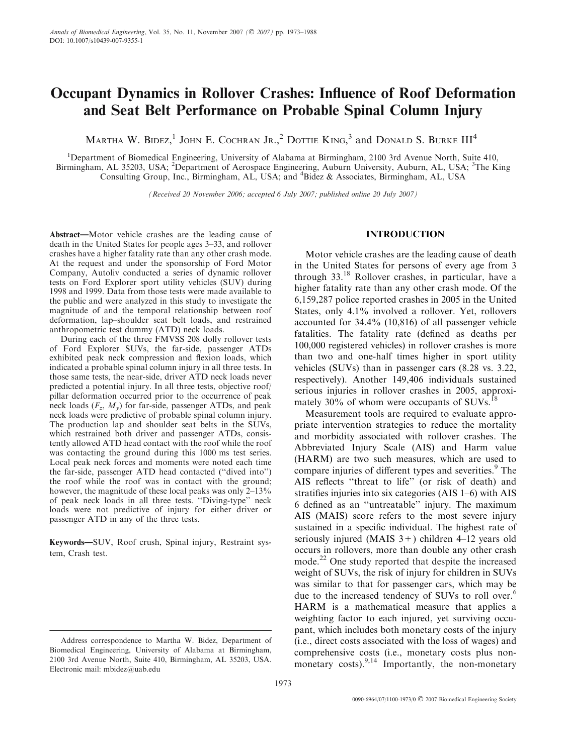# Occupant Dynamics in Rollover Crashes: Influence of Roof Deformation and Seat Belt Performance on Probable Spinal Column Injury

Martha W. Bidez,<sup>1</sup> John E. Cochran Jr.,<sup>2</sup> Dottie King,<sup>3</sup> and Donald S. Burke III<sup>4</sup>

<sup>1</sup>Department of Biomedical Engineering, University of Alabama at Birmingham, 2100 3rd Avenue North, Suite 410, Birmingham, AL 35203, USA; <sup>2</sup>Department of Aerospace Engineering, Auburn University, Auburn, AL, USA; <sup>3</sup>The King Consulting Group, Inc., Birmingham, AL, USA; and <sup>4</sup>Bidez & Associates, Birmingham, AL, USA

(Received 20 November 2006; accepted 6 July 2007; published online 20 July 2007)

Abstract—Motor vehicle crashes are the leading cause of death in the United States for people ages 3–33, and rollover crashes have a higher fatality rate than any other crash mode. At the request and under the sponsorship of Ford Motor Company, Autoliv conducted a series of dynamic rollover tests on Ford Explorer sport utility vehicles (SUV) during 1998 and 1999. Data from those tests were made available to the public and were analyzed in this study to investigate the magnitude of and the temporal relationship between roof deformation, lap–shoulder seat belt loads, and restrained anthropometric test dummy (ATD) neck loads.

During each of the three FMVSS 208 dolly rollover tests of Ford Explorer SUVs, the far-side, passenger ATDs exhibited peak neck compression and flexion loads, which indicated a probable spinal column injury in all three tests. In those same tests, the near-side, driver ATD neck loads never predicted a potential injury. In all three tests, objective roof/ pillar deformation occurred prior to the occurrence of peak neck loads  $(F_z, M_v)$  for far-side, passenger ATDs, and peak neck loads were predictive of probable spinal column injury. The production lap and shoulder seat belts in the SUVs, which restrained both driver and passenger ATDs, consistently allowed ATD head contact with the roof while the roof was contacting the ground during this 1000 ms test series. Local peak neck forces and moments were noted each time the far-side, passenger ATD head contacted (''dived into'') the roof while the roof was in contact with the ground; however, the magnitude of these local peaks was only 2–13% of peak neck loads in all three tests. ''Diving-type'' neck loads were not predictive of injury for either driver or passenger ATD in any of the three tests.

Keywords—SUV, Roof crush, Spinal injury, Restraint system, Crash test.

## INTRODUCTION

Motor vehicle crashes are the leading cause of death in the United States for persons of every age from 3 through  $33^{18}$  Rollover crashes, in particular, have a higher fatality rate than any other crash mode. Of the 6,159,287 police reported crashes in 2005 in the United States, only 4.1% involved a rollover. Yet, rollovers accounted for 34.4% (10,816) of all passenger vehicle fatalities. The fatality rate (defined as deaths per 100,000 registered vehicles) in rollover crashes is more than two and one-half times higher in sport utility vehicles (SUVs) than in passenger cars (8.28 vs. 3.22, respectively). Another 149,406 individuals sustained serious injuries in rollover crashes in 2005, approximately  $30\%$  of whom were occupants of SUVs.<sup>18</sup>

Measurement tools are required to evaluate appropriate intervention strategies to reduce the mortality and morbidity associated with rollover crashes. The Abbreviated Injury Scale (AIS) and Harm value (HARM) are two such measures, which are used to compare injuries of different types and severities.<sup>9</sup> The AIS reflects ''threat to life'' (or risk of death) and stratifies injuries into six categories (AIS 1–6) with AIS 6 defined as an ''untreatable'' injury. The maximum AIS (MAIS) score refers to the most severe injury sustained in a specific individual. The highest rate of seriously injured (MAIS  $3+$ ) children 4–12 years old occurs in rollovers, more than double any other crash mode.<sup>22</sup> One study reported that despite the increased weight of SUVs, the risk of injury for children in SUVs was similar to that for passenger cars, which may be due to the increased tendency of SUVs to roll over.<sup>6</sup> HARM is a mathematical measure that applies a weighting factor to each injured, yet surviving occupant, which includes both monetary costs of the injury (i.e., direct costs associated with the loss of wages) and comprehensive costs (i.e., monetary costs plus nonmonetary costs).<sup>9,14</sup> Importantly, the non-monetary

Address correspondence to Martha W. Bidez, Department of Biomedical Engineering, University of Alabama at Birmingham, 2100 3rd Avenue North, Suite 410, Birmingham, AL 35203, USA. Electronic mail: mbidez@uab.edu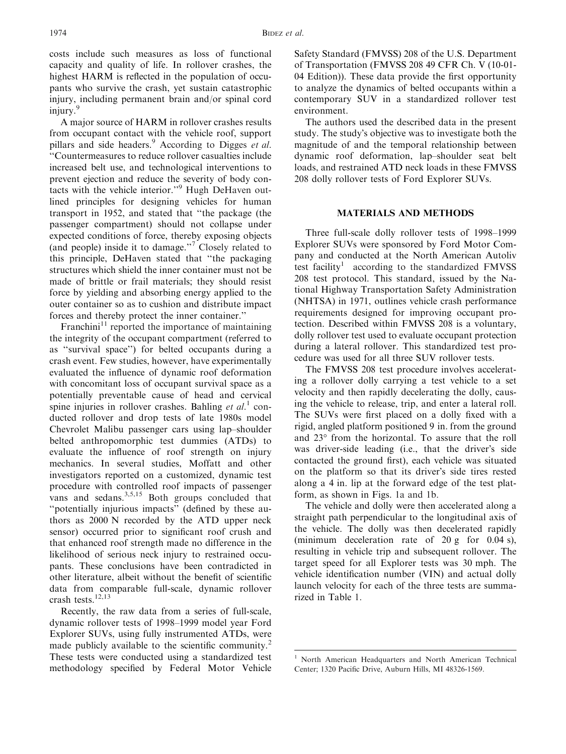costs include such measures as loss of functional capacity and quality of life. In rollover crashes, the highest HARM is reflected in the population of occupants who survive the crash, yet sustain catastrophic injury, including permanent brain and/or spinal cord injury.<sup>9</sup>

A major source of HARM in rollover crashes results from occupant contact with the vehicle roof, support pillars and side headers.<sup>9</sup> According to Digges et al. ''Countermeasures to reduce rollover casualties include increased belt use, and technological interventions to prevent ejection and reduce the severity of body contacts with the vehicle interior.''<sup>9</sup> Hugh DeHaven outlined principles for designing vehicles for human transport in 1952, and stated that ''the package (the passenger compartment) should not collapse under expected conditions of force, thereby exposing objects (and people) inside it to damage.''<sup>7</sup> Closely related to this principle, DeHaven stated that ''the packaging structures which shield the inner container must not be made of brittle or frail materials; they should resist force by yielding and absorbing energy applied to the outer container so as to cushion and distribute impact forces and thereby protect the inner container.''

Franchini<sup>11</sup> reported the importance of maintaining the integrity of the occupant compartment (referred to as ''survival space'') for belted occupants during a crash event. Few studies, however, have experimentally evaluated the influence of dynamic roof deformation with concomitant loss of occupant survival space as a potentially preventable cause of head and cervical spine injuries in rollover crashes. Bahling et  $al$ .<sup>1</sup> conducted rollover and drop tests of late 1980s model Chevrolet Malibu passenger cars using lap–shoulder belted anthropomorphic test dummies (ATDs) to evaluate the influence of roof strength on injury mechanics. In several studies, Moffatt and other investigators reported on a customized, dynamic test procedure with controlled roof impacts of passenger vans and sedans.<sup>3,5,15</sup> Both groups concluded that ''potentially injurious impacts'' (defined by these authors as 2000 N recorded by the ATD upper neck sensor) occurred prior to significant roof crush and that enhanced roof strength made no difference in the likelihood of serious neck injury to restrained occupants. These conclusions have been contradicted in other literature, albeit without the benefit of scientific data from comparable full-scale, dynamic rollover crash tests. $12,13$ 

Recently, the raw data from a series of full-scale, dynamic rollover tests of 1998–1999 model year Ford Explorer SUVs, using fully instrumented ATDs, were made publicly available to the scientific community.<sup>2</sup> These tests were conducted using a standardized test methodology specified by Federal Motor Vehicle

Safety Standard (FMVSS) 208 of the U.S. Department of Transportation (FMVSS 208 49 CFR Ch. V (10-01- 04 Edition)). These data provide the first opportunity to analyze the dynamics of belted occupants within a contemporary SUV in a standardized rollover test environment.

The authors used the described data in the present study. The study's objective was to investigate both the magnitude of and the temporal relationship between dynamic roof deformation, lap–shoulder seat belt loads, and restrained ATD neck loads in these FMVSS 208 dolly rollover tests of Ford Explorer SUVs.

## MATERIALS AND METHODS

Three full-scale dolly rollover tests of 1998–1999 Explorer SUVs were sponsored by Ford Motor Company and conducted at the North American Autoliv test facility<sup>1</sup> according to the standardized FMVSS 208 test protocol. This standard, issued by the National Highway Transportation Safety Administration (NHTSA) in 1971, outlines vehicle crash performance requirements designed for improving occupant protection. Described within FMVSS 208 is a voluntary, dolly rollover test used to evaluate occupant protection during a lateral rollover. This standardized test procedure was used for all three SUV rollover tests.

The FMVSS 208 test procedure involves accelerating a rollover dolly carrying a test vehicle to a set velocity and then rapidly decelerating the dolly, causing the vehicle to release, trip, and enter a lateral roll. The SUVs were first placed on a dolly fixed with a rigid, angled platform positioned 9 in. from the ground and 23° from the horizontal. To assure that the roll was driver-side leading (i.e., that the driver's side contacted the ground first), each vehicle was situated on the platform so that its driver's side tires rested along a 4 in. lip at the forward edge of the test platform, as shown in Figs. 1a and 1b.

The vehicle and dolly were then accelerated along a straight path perpendicular to the longitudinal axis of the vehicle. The dolly was then decelerated rapidly (minimum deceleration rate of 20 g for 0.04 s), resulting in vehicle trip and subsequent rollover. The target speed for all Explorer tests was 30 mph. The vehicle identification number (VIN) and actual dolly launch velocity for each of the three tests are summarized in Table 1.

<sup>&</sup>lt;sup>1</sup> North American Headquarters and North American Technical Center; 1320 Pacific Drive, Auburn Hills, MI 48326-1569.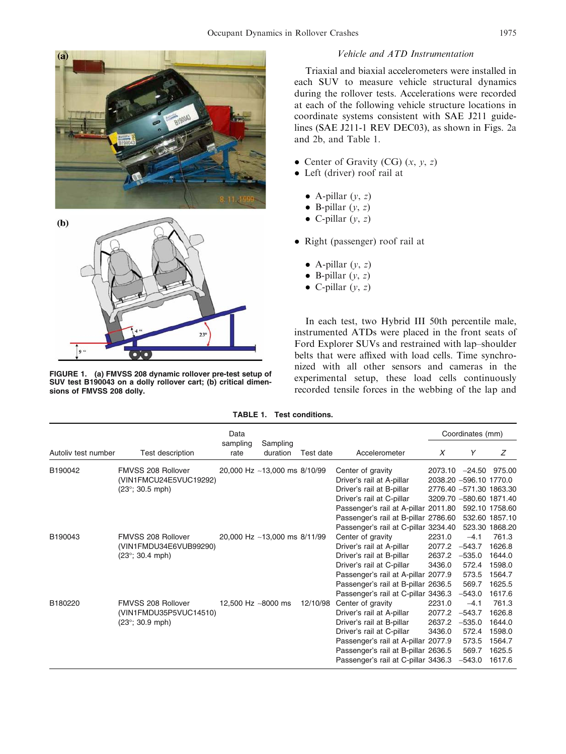



FIGURE 1. (a) FMVSS 208 dynamic rollover pre-test setup of SUV test B190043 on a dolly rollover cart; (b) critical dimensions of FMVSS 208 dolly.

# Vehicle and ATD Instrumentation

Triaxial and biaxial accelerometers were installed in each SUV to measure vehicle structural dynamics during the rollover tests. Accelerations were recorded at each of the following vehicle structure locations in coordinate systems consistent with SAE J211 guidelines (SAE J211-1 REV DEC03), as shown in Figs. 2a and 2b, and Table 1.

- Center of Gravity (CG)  $(x, y, z)$
- Left (driver) roof rail at
	- $\bullet$  A-pillar  $(y, z)$
	- $\bullet$  B-pillar  $(y, z)$
	- $\bullet$  C-pillar  $(y, z)$
- Right (passenger) roof rail at
	- $\bullet$  A-pillar  $(y, z)$
	- $\bullet$  B-pillar  $(y, z)$
	- C-pillar  $(y, z)$

In each test, two Hybrid III 50th percentile male, instrumented ATDs were placed in the front seats of Ford Explorer SUVs and restrained with lap–shoulder belts that were affixed with load cells. Time synchronized with all other sensors and cameras in the experimental setup, these load cells continuously recorded tensile forces in the webbing of the lap and

| TABLE 1. | <b>Test conditions.</b> |
|----------|-------------------------|
|----------|-------------------------|

|                     |                          | Data               |                              |           |                                      |         | Coordinates (mm)        |                 |
|---------------------|--------------------------|--------------------|------------------------------|-----------|--------------------------------------|---------|-------------------------|-----------------|
| Autoliv test number | Test description         | sampling<br>rate   | Sampling<br>duration         | Test date | Accelerometer                        | X       | Y                       | Ζ               |
| B190042             | FMVSS 208 Rollover       |                    | 20,000 Hz ~13,000 ms 8/10/99 |           | Center of gravity                    | 2073.10 |                         | $-24.50$ 975.00 |
|                     | (VIN1FMCU24E5VUC19292)   |                    |                              |           | Driver's rail at A-pillar            |         | 2038.20 -596.10 1770.0  |                 |
|                     | $(23^{\circ}; 30.5$ mph) |                    |                              |           | Driver's rail at B-pillar            |         | 2776.40 -571.30 1863.30 |                 |
|                     |                          |                    |                              |           | Driver's rail at C-pillar            |         | 3209.70 -580.60 1871.40 |                 |
|                     |                          |                    |                              |           | Passenger's rail at A-pillar 2011.80 |         |                         | 592.10 1758.60  |
|                     |                          |                    |                              |           | Passenger's rail at B-pillar 2786.60 |         |                         | 532.60 1857.10  |
|                     |                          |                    |                              |           | Passenger's rail at C-pillar 3234.40 |         |                         | 523.30 1868.20  |
| B190043             | FMVSS 208 Rollover       |                    | 20,000 Hz ~13,000 ms 8/11/99 |           | Center of gravity                    | 2231.0  | $-4.1$                  | 761.3           |
|                     | (VIN1FMDU34E6VUB99290)   |                    |                              |           | Driver's rail at A-pillar            | 2077.2  | $-543.7$                | 1626.8          |
|                     | $(23^{\circ}; 30.4$ mph) |                    |                              |           | Driver's rail at B-pillar            | 2637.2  | $-535.0$                | 1644.0          |
|                     |                          |                    |                              |           | Driver's rail at C-pillar            | 3436.0  | 572.4                   | 1598.0          |
|                     |                          |                    |                              |           | Passenger's rail at A-pillar 2077.9  |         | 573.5                   | 1564.7          |
|                     |                          |                    |                              |           | Passenger's rail at B-pillar 2636.5  |         | 569.7                   | 1625.5          |
|                     |                          |                    |                              |           | Passenger's rail at C-pillar 3436.3  |         | $-543.0$                | 1617.6          |
| B180220             | FMVSS 208 Rollover       | 12,500 Hz ~8000 ms |                              | 12/10/98  | Center of gravity                    | 2231.0  | $-4.1$                  | 761.3           |
|                     | (VIN1FMDU35P5VUC14510)   |                    |                              |           | Driver's rail at A-pillar            | 2077.2  | $-543.7$                | 1626.8          |
|                     | $(23^{\circ}; 30.9$ mph) |                    |                              |           | Driver's rail at B-pillar            | 2637.2  | $-535.0$                | 1644.0          |
|                     |                          |                    |                              |           | Driver's rail at C-pillar            | 3436.0  | 572.4                   | 1598.0          |
|                     |                          |                    |                              |           | Passenger's rail at A-pillar 2077.9  |         | 573.5                   | 1564.7          |
|                     |                          |                    |                              |           | Passenger's rail at B-pillar 2636.5  |         | 569.7                   | 1625.5          |
|                     |                          |                    |                              |           | Passenger's rail at C-pillar 3436.3  |         | $-543.0$                | 1617.6          |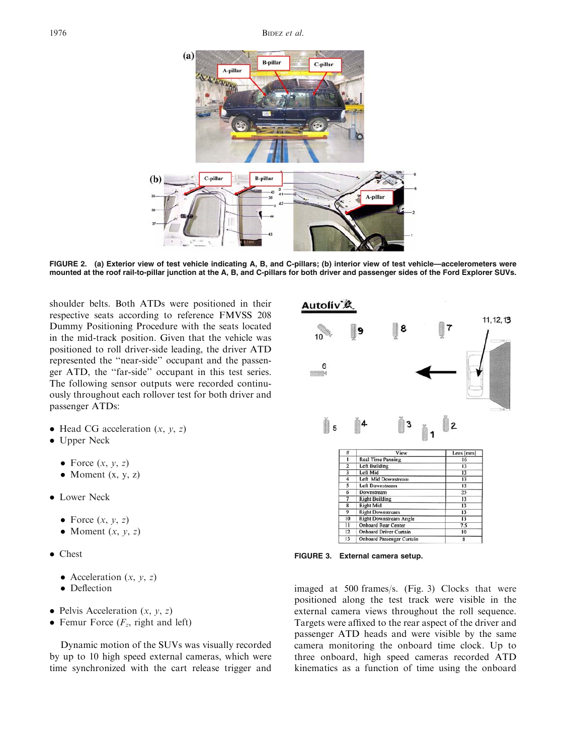

FIGURE 2. (a) Exterior view of test vehicle indicating A, B, and C-pillars; (b) interior view of test vehicle—accelerometers were mounted at the roof rail-to-pillar junction at the A, B, and C-pillars for both driver and passenger sides of the Ford Explorer SUVs.

shoulder belts. Both ATDs were positioned in their respective seats according to reference FMVSS 208 Dummy Positioning Procedure with the seats located in the mid-track position. Given that the vehicle was positioned to roll driver-side leading, the driver ATD represented the ''near-side'' occupant and the passenger ATD, the ''far-side'' occupant in this test series. The following sensor outputs were recorded continuously throughout each rollover test for both driver and passenger ATDs:

- $\bullet$  Head CG acceleration  $(x, y, z)$
- Upper Neck
	- Force  $(x, y, z)$
	- Moment  $(x, y, z)$
- Lower Neck
	- Force  $(x, y, z)$
	- Moment  $(x, y, z)$
- Chest
	- Acceleration  $(x, y, z)$
	- Deflection
- Pelvis Acceleration  $(x, y, z)$
- Femur Force  $(F_z,$  right and left)

Dynamic motion of the SUVs was visually recorded by up to 10 high speed external cameras, which were time synchronized with the cart release trigger and



FIGURE 3. External camera setup.

imaged at 500 frames/s. (Fig. 3) Clocks that were positioned along the test track were visible in the external camera views throughout the roll sequence. Targets were affixed to the rear aspect of the driver and passenger ATD heads and were visible by the same camera monitoring the onboard time clock. Up to three onboard, high speed cameras recorded ATD kinematics as a function of time using the onboard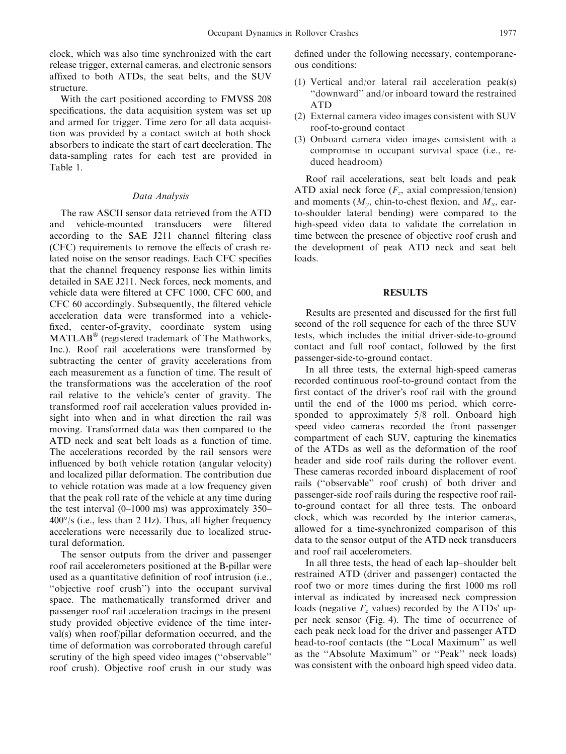clock, which was also time synchronized with the cart release trigger, external cameras, and electronic sensors affixed to both ATDs, the seat belts, and the SUV structure.

With the cart positioned according to FMVSS 208 specifications, the data acquisition system was set up and armed for trigger. Time zero for all data acquisition was provided by a contact switch at both shock absorbers to indicate the start of cart deceleration. The data-sampling rates for each test are provided in Table 1.

#### Data Analysis

The raw ASCII sensor data retrieved from the ATD and vehicle-mounted transducers were filtered according to the SAE J211 channel filtering class (CFC) requirements to remove the effects of crash related noise on the sensor readings. Each CFC specifies that the channel frequency response lies within limits detailed in SAE J211. Neck forces, neck moments, and vehicle data were filtered at CFC 1000, CFC 600, and CFC 60 accordingly. Subsequently, the filtered vehicle acceleration data were transformed into a vehiclefixed, center-of-gravity, coordinate system using  $MATLAB^{\circledR}$  (registered trademark of The Mathworks, Inc.). Roof rail accelerations were transformed by subtracting the center of gravity accelerations from each measurement as a function of time. The result of the transformations was the acceleration of the roof rail relative to the vehicle's center of gravity. The transformed roof rail acceleration values provided insight into when and in what direction the rail was moving. Transformed data was then compared to the ATD neck and seat belt loads as a function of time. The accelerations recorded by the rail sensors were influenced by both vehicle rotation (angular velocity) and localized pillar deformation. The contribution due to vehicle rotation was made at a low frequency given that the peak roll rate of the vehicle at any time during the test interval (0–1000 ms) was approximately 350–  $400^{\circ}/s$  (i.e., less than 2 Hz). Thus, all higher frequency accelerations were necessarily due to localized structural deformation.

The sensor outputs from the driver and passenger roof rail accelerometers positioned at the B-pillar were used as a quantitative definition of roof intrusion (i.e., ''objective roof crush'') into the occupant survival space. The mathematically transformed driver and passenger roof rail acceleration tracings in the present study provided objective evidence of the time interval(s) when roof/pillar deformation occurred, and the time of deformation was corroborated through careful scrutiny of the high speed video images (''observable'' roof crush). Objective roof crush in our study was defined under the following necessary, contemporaneous conditions:

- (1) Vertical and/or lateral rail acceleration peak(s) ''downward'' and/or inboard toward the restrained ATD
- (2) External camera video images consistent with SUV roof-to-ground contact
- (3) Onboard camera video images consistent with a compromise in occupant survival space (i.e., reduced headroom)

Roof rail accelerations, seat belt loads and peak ATD axial neck force  $(F_z, \text{ axial compression/tension})$ and moments  $(M_v, \text{chin-to-check flexion}, \text{and } M_x, \text{ear-}$ to-shoulder lateral bending) were compared to the high-speed video data to validate the correlation in time between the presence of objective roof crush and the development of peak ATD neck and seat belt loads.

## RESULTS

Results are presented and discussed for the first full second of the roll sequence for each of the three SUV tests, which includes the initial driver-side-to-ground contact and full roof contact, followed by the first passenger-side-to-ground contact.

In all three tests, the external high-speed cameras recorded continuous roof-to-ground contact from the first contact of the driver's roof rail with the ground until the end of the 1000 ms period, which corresponded to approximately 5/8 roll. Onboard high speed video cameras recorded the front passenger compartment of each SUV, capturing the kinematics of the ATDs as well as the deformation of the roof header and side roof rails during the rollover event. These cameras recorded inboard displacement of roof rails (''observable'' roof crush) of both driver and passenger-side roof rails during the respective roof railto-ground contact for all three tests. The onboard clock, which was recorded by the interior cameras, allowed for a time-synchronized comparison of this data to the sensor output of the ATD neck transducers and roof rail accelerometers.

In all three tests, the head of each lap–shoulder belt restrained ATD (driver and passenger) contacted the roof two or more times during the first 1000 ms roll interval as indicated by increased neck compression loads (negative  $F<sub>z</sub>$  values) recorded by the ATDs' upper neck sensor (Fig. 4). The time of occurrence of each peak neck load for the driver and passenger ATD head-to-roof contacts (the ''Local Maximum'' as well as the ''Absolute Maximum'' or ''Peak'' neck loads) was consistent with the onboard high speed video data.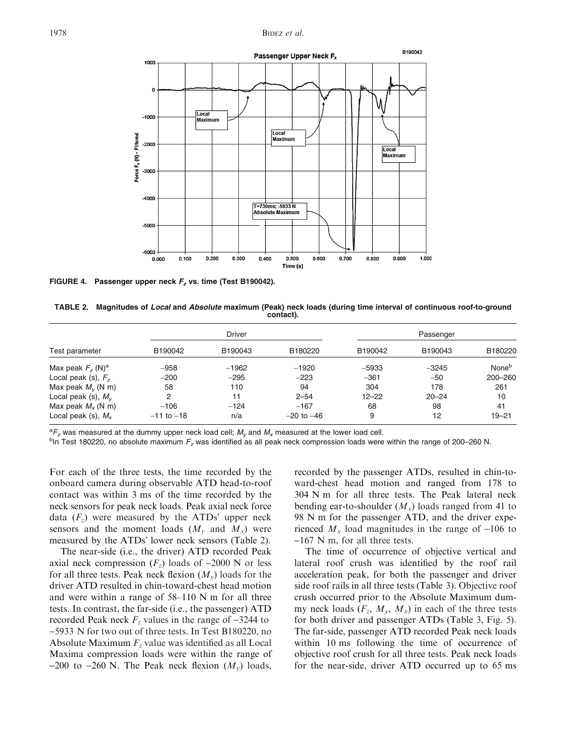

FIGURE 4. Passenger upper neck  $F_z$  vs. time (Test B190042).

TABLE 2. Magnitudes of Local and Absolute maximum (Peak) neck loads (during time interval of continuous roof-to-ground contact).

|                                |                | <b>Driver</b> |                |           | Passenger |                   |
|--------------------------------|----------------|---------------|----------------|-----------|-----------|-------------------|
| Test parameter                 | B190042        | B190043       | B180220        | B190042   | B190043   | B180220           |
| Max peak $Fz$ (N) <sup>a</sup> | $-958$         | $-1962$       | $-1920$        | $-5933$   | $-3245$   | None <sup>b</sup> |
| Local peak (s), $Fz$           | $-200$         | $-295$        | $-223$         | $-361$    | $-50$     | 200-260           |
| Max peak $M_v$ (N m)           | 58             | 110           | 94             | 304       | 178       | 261               |
| Local peak (s), $M_V$          | 2              | 11            | $2 - 54$       | $12 - 22$ | $20 - 24$ | 10                |
| Max peak $M_{x}$ (N m)         | $-106$         | $-124$        | $-167$         | 68        | 98        | 41                |
| Local peak (s), $M_x$          | $-11$ to $-18$ | n/a           | $-20$ to $-46$ | 9         | 12        | $19 - 21$         |

 ${}^{a}F_{z}$  was measured at the dummy upper neck load cell;  $M_{y}$  and  $M_{x}$  measured at the lower load cell.<br><sup>bin</sup> Test 180220, no absolute maximum E, was identified as all peak neck compression loads were

 $b$ In Test 180220, no absolute maximum  $F_z$  was identified as all peak neck compression loads were within the range of 200–260 N.

For each of the three tests, the time recorded by the onboard camera during observable ATD head-to-roof contact was within 3 ms of the time recorded by the neck sensors for peak neck loads. Peak axial neck force data  $(F<sub>z</sub>)$  were measured by the ATDs' upper neck sensors and the moment loads  $(M_v \text{ and } M_x)$  were measured by the ATDs' lower neck sensors (Table 2).

The near-side (i.e., the driver) ATD recorded Peak axial neck compression  $(F_z)$  loads of -2000 N or less for all three tests. Peak neck flexion  $(M_v)$  loads for the driver ATD resulted in chin-toward-chest head motion and were within a range of 58–110 N m for all three tests. In contrast, the far-side (i.e., the passenger) ATD recorded Peak neck  $F<sub>z</sub>$  values in the range of  $-3244$  to -5933 N for two out of three tests. In Test B180220, no Absolute Maximum  $F<sub>z</sub>$  value was identified as all Local Maxima compression loads were within the range of  $-200$  to  $-260$  N. The Peak neck flexion  $(M_v)$  loads, recorded by the passenger ATDs, resulted in chin-toward-chest head motion and ranged from 178 to 304 N m for all three tests. The Peak lateral neck bending ear-to-shoulder  $(M_x)$  loads ranged from 41 to 98 N m for the passenger ATD, and the driver experienced  $M_x$  load magnitudes in the range of -106 to -167 N m, for all three tests.

The time of occurrence of objective vertical and lateral roof crush was identified by the roof rail acceleration peak, for both the passenger and driver side roof rails in all three tests (Table 3). Objective roof crush occurred prior to the Absolute Maximum dummy neck loads  $(F_z, M_y, M_x)$  in each of the three tests for both driver and passenger ATDs (Table 3, Fig. 5). The far-side, passenger ATD recorded Peak neck loads within 10 ms following the time of occurrence of objective roof crush for all three tests. Peak neck loads for the near-side, driver ATD occurred up to 65 ms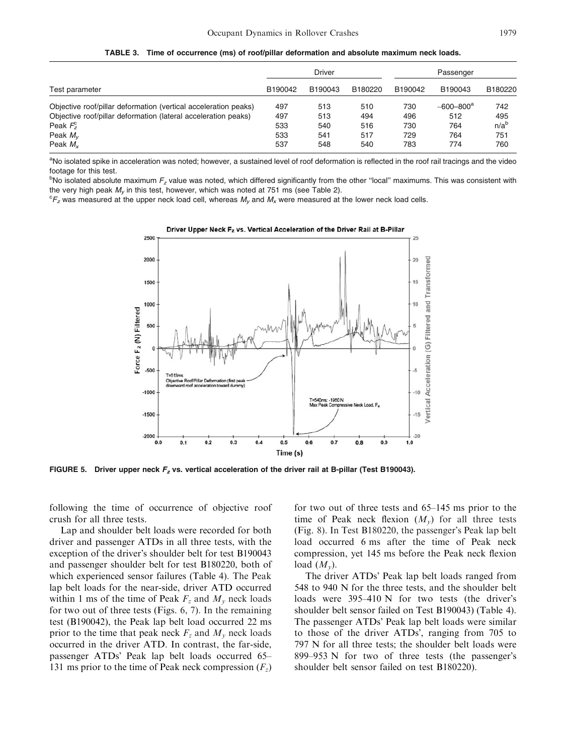|                                                                 |         | <b>Driver</b> |         |         | Passenger                 |                  |
|-----------------------------------------------------------------|---------|---------------|---------|---------|---------------------------|------------------|
| Test parameter                                                  | B190042 | B190043       | B180220 | B190042 | B190043                   | B180220          |
| Objective roof/pillar deformation (vertical acceleration peaks) | 497     | 513           | 510     | 730     | $-600 - 800$ <sup>a</sup> | 742              |
| Objective roof/pillar deformation (lateral acceleration peaks)  | 497     | 513           | 494     | 496     | 512                       | 495              |
| Peak $F_z^c$                                                    | 533     | 540           | 516     | 730     | 764                       | n/a <sup>b</sup> |
| Peak $M_{\nu}$                                                  | 533     | 541           | 517     | 729     | 764                       | 751              |
| Peak $M_{\rm v}$                                                | 537     | 548           | 540     | 783     | 774                       | 760              |

TABLE 3. Time of occurrence (ms) of roof/pillar deformation and absolute maximum neck loads.

<sup>a</sup>No isolated spike in acceleration was noted; however, a sustained level of roof deformation is reflected in the roof rail tracings and the video footage for this test.

 $^{\rm b}$ No isolated absolute maximum  $F_z$  value was noted, which differed significantly from the other "local" maximums. This was consistent with the very high peak  $M_v$  in this test, however, which was noted at 751 ms (see Table 2).

 ${}^cF_z$  was measured at the upper neck load cell, whereas  $M_y$  and  $M_x$  were measured at the lower neck load cells.



FIGURE 5. Driver upper neck  $F<sub>z</sub>$  vs. vertical acceleration of the driver rail at B-pillar (Test B190043).

following the time of occurrence of objective roof crush for all three tests.

Lap and shoulder belt loads were recorded for both driver and passenger ATDs in all three tests, with the exception of the driver's shoulder belt for test B190043 and passenger shoulder belt for test B180220, both of which experienced sensor failures (Table 4). The Peak lap belt loads for the near-side, driver ATD occurred within 1 ms of the time of Peak  $F_z$  and  $M_v$  neck loads for two out of three tests (Figs. 6, 7). In the remaining test (B190042), the Peak lap belt load occurred 22 ms prior to the time that peak neck  $F_z$  and  $M_v$  neck loads occurred in the driver ATD. In contrast, the far-side, passenger ATDs' Peak lap belt loads occurred 65– 131 ms prior to the time of Peak neck compression  $(F_z)$ 

for two out of three tests and 65–145 ms prior to the time of Peak neck flexion  $(M_v)$  for all three tests  $(Fig. 8)$ . In Test B180220, the passenger's Peak lap belt load occurred 6 ms after the time of Peak neck compression, yet 145 ms before the Peak neck flexion load  $(M_v)$ .

The driver ATDs' Peak lap belt loads ranged from 548 to 940 N for the three tests, and the shoulder belt loads were  $395-410$  N for two tests (the driver's shoulder belt sensor failed on Test B190043) (Table 4). The passenger ATDs' Peak lap belt loads were similar to those of the driver ATDs', ranging from 705 to 797 N for all three tests; the shoulder belt loads were 899–953 N for two of three tests (the passenger's shoulder belt sensor failed on test B180220).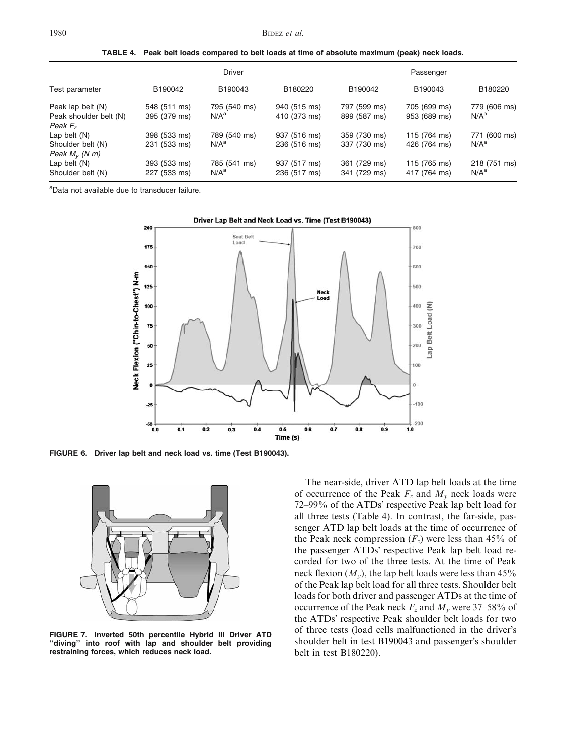|  |  | TABLE 4. Peak belt loads compared to belt loads at time of absolute maximum (peak) neck loads. |  |  |  |  |  |  |
|--|--|------------------------------------------------------------------------------------------------|--|--|--|--|--|--|
|--|--|------------------------------------------------------------------------------------------------|--|--|--|--|--|--|

|                        | <b>Driver</b> |              |              | Passenger    |              |                  |  |
|------------------------|---------------|--------------|--------------|--------------|--------------|------------------|--|
| Test parameter         | B190042       | B190043      | B180220      | B190042      | B190043      | B180220          |  |
| Peak lap belt (N)      | 548 (511 ms)  | 795 (540 ms) | 940 (515 ms) | 797 (599 ms) | 705 (699 ms) | 779 (606 ms)     |  |
| Peak shoulder belt (N) | 395 (379 ms)  | $N/A^a$      | 410 (373 ms) | 899 (587 ms) | 953 (689 ms) | N/A <sup>a</sup> |  |
| Peak $F_{\rm z}$       |               |              |              |              |              |                  |  |
| Lap belt $(N)$         | 398 (533 ms)  | 789 (540 ms) | 937 (516 ms) | 359 (730 ms) | 115 (764 ms) | 771 (600 ms)     |  |
| Shoulder belt (N)      | 231 (533 ms)  | $N/A^a$      | 236 (516 ms) | 337 (730 ms) | 426 (764 ms) | N/A <sup>a</sup> |  |
| Peak $M_V$ (N m)       |               |              |              |              |              |                  |  |
| Lap belt $(N)$         | 393 (533 ms)  | 785 (541 ms) | 937 (517 ms) | 361 (729 ms) | 115 (765 ms) | 218 (751 ms)     |  |
| Shoulder belt (N)      | 227 (533 ms)  | $N/A^a$      | 236 (517 ms) | 341 (729 ms) | 417 (764 ms) | N/A <sup>a</sup> |  |

<sup>a</sup>Data not available due to transducer failure.



FIGURE 6. Driver lap belt and neck load vs. time (Test B190043).



FIGURE 7. Inverted 50th percentile Hybrid III Driver ATD ''diving'' into roof with lap and shoulder belt providing restraining forces, which reduces neck load.

The near-side, driver ATD lap belt loads at the time of occurrence of the Peak  $F_z$  and  $M_v$  neck loads were 72–99% of the ATDs' respective Peak lap belt load for all three tests (Table 4). In contrast, the far-side, passenger ATD lap belt loads at the time of occurrence of the Peak neck compression  $(F_z)$  were less than 45% of the passenger ATDs' respective Peak lap belt load recorded for two of the three tests. At the time of Peak neck flexion  $(M_v)$ , the lap belt loads were less than 45% of the Peak lap belt load for all three tests. Shoulder belt loads for both driver and passenger ATDs at the time of occurrence of the Peak neck  $F_z$  and  $M_v$  were 37–58% of the ATDs' respective Peak shoulder belt loads for two of three tests (load cells malfunctioned in the driver's shoulder belt in test B190043 and passenger's shoulder belt in test B180220).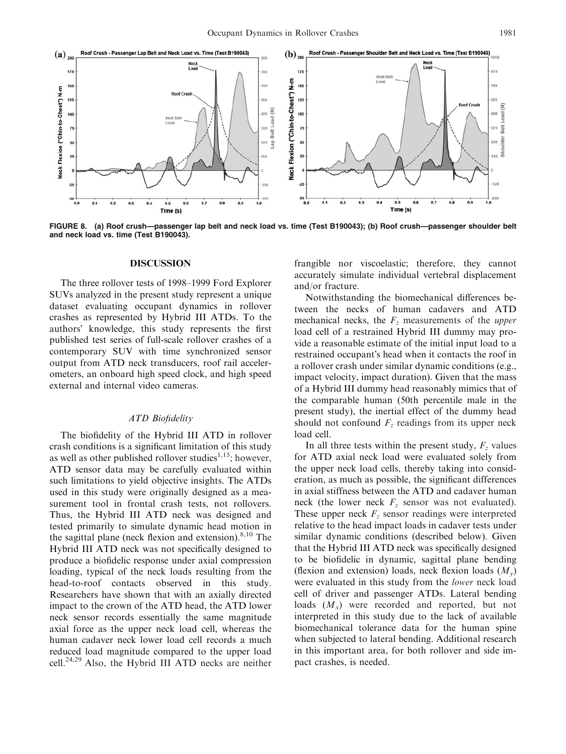

FIGURE 8. (a) Roof crush—passenger lap belt and neck load vs. time (Test B190043); (b) Roof crush—passenger shoulder belt and neck load vs. time (Test B190043).

#### DISCUSSION

The three rollover tests of 1998–1999 Ford Explorer SUVs analyzed in the present study represent a unique dataset evaluating occupant dynamics in rollover crashes as represented by Hybrid III ATDs. To the authors' knowledge, this study represents the first published test series of full-scale rollover crashes of a contemporary SUV with time synchronized sensor output from ATD neck transducers, roof rail accelerometers, an onboard high speed clock, and high speed external and internal video cameras.

# ATD Biofidelity

The biofidelity of the Hybrid III ATD in rollover crash conditions is a significant limitation of this study as well as other published rollover studies<sup>1,15</sup>; however, ATD sensor data may be carefully evaluated within such limitations to yield objective insights. The ATDs used in this study were originally designed as a measurement tool in frontal crash tests, not rollovers. Thus, the Hybrid III ATD neck was designed and tested primarily to simulate dynamic head motion in the sagittal plane (neck flexion and extension). $8,10$  The Hybrid III ATD neck was not specifically designed to produce a biofidelic response under axial compression loading, typical of the neck loads resulting from the head-to-roof contacts observed in this study. Researchers have shown that with an axially directed impact to the crown of the ATD head, the ATD lower neck sensor records essentially the same magnitude axial force as the upper neck load cell, whereas the human cadaver neck lower load cell records a much reduced load magnitude compared to the upper load cell.<sup>24,29</sup> Also, the Hybrid III ATD necks are neither frangible nor viscoelastic; therefore, they cannot accurately simulate individual vertebral displacement and/or fracture.

Notwithstanding the biomechanical differences between the necks of human cadavers and ATD mechanical necks, the  $F<sub>z</sub>$  measurements of the *upper* load cell of a restrained Hybrid III dummy may provide a reasonable estimate of the initial input load to a restrained occupant's head when it contacts the roof in a rollover crash under similar dynamic conditions (e.g., impact velocity, impact duration). Given that the mass of a Hybrid III dummy head reasonably mimics that of the comparable human (50th percentile male in the present study), the inertial effect of the dummy head should not confound  $F<sub>z</sub>$  readings from its upper neck load cell.

In all three tests within the present study,  $F<sub>z</sub>$  values for ATD axial neck load were evaluated solely from the upper neck load cells, thereby taking into consideration, as much as possible, the significant differences in axial stiffness between the ATD and cadaver human neck (the lower neck  $F_z$  sensor was not evaluated). These upper neck  $F<sub>z</sub>$  sensor readings were interpreted relative to the head impact loads in cadaver tests under similar dynamic conditions (described below). Given that the Hybrid III ATD neck was specifically designed to be biofidelic in dynamic, sagittal plane bending (flexion and extension) loads, neck flexion loads  $(M_v)$ were evaluated in this study from the lower neck load cell of driver and passenger ATDs. Lateral bending loads  $(M_x)$  were recorded and reported, but not interpreted in this study due to the lack of available biomechanical tolerance data for the human spine when subjected to lateral bending. Additional research in this important area, for both rollover and side impact crashes, is needed.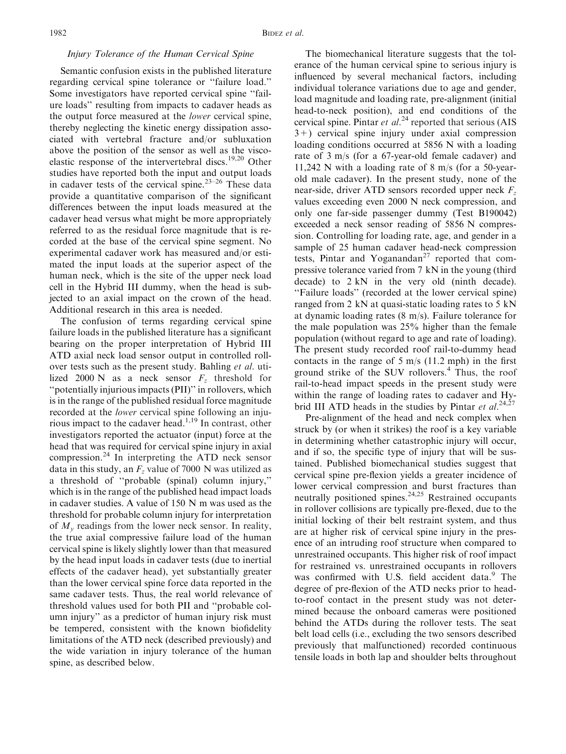## Injury Tolerance of the Human Cervical Spine

Semantic confusion exists in the published literature regarding cervical spine tolerance or ''failure load.'' Some investigators have reported cervical spine ''failure loads'' resulting from impacts to cadaver heads as the output force measured at the lower cervical spine, thereby neglecting the kinetic energy dissipation associated with vertebral fracture and/or subluxation above the position of the sensor as well as the viscoelastic response of the intervertebral discs.<sup>19,20</sup> Other studies have reported both the input and output loads in cadaver tests of the cervical spine.<sup>23–26</sup> These data provide a quantitative comparison of the significant differences between the input loads measured at the cadaver head versus what might be more appropriately referred to as the residual force magnitude that is recorded at the base of the cervical spine segment. No experimental cadaver work has measured and/or estimated the input loads at the superior aspect of the human neck, which is the site of the upper neck load cell in the Hybrid III dummy, when the head is subjected to an axial impact on the crown of the head. Additional research in this area is needed.

The confusion of terms regarding cervical spine failure loads in the published literature has a significant bearing on the proper interpretation of Hybrid III ATD axial neck load sensor output in controlled rollover tests such as the present study. Bahling et al. utilized 2000 N as a neck sensor  $F<sub>z</sub>$  threshold for ''potentially injurious impacts (PII)'' in rollovers, which is in the range of the published residual force magnitude recorded at the lower cervical spine following an injurious impact to the cadaver head.1,19 In contrast, other investigators reported the actuator (input) force at the head that was required for cervical spine injury in axial compression.<sup>24</sup> In interpreting the ATD neck sensor data in this study, an  $F<sub>z</sub>$  value of 7000 N was utilized as a threshold of ''probable (spinal) column injury,'' which is in the range of the published head impact loads in cadaver studies. A value of 150 N m was used as the threshold for probable column injury for interpretation of  $M<sub>v</sub>$  readings from the lower neck sensor. In reality, the true axial compressive failure load of the human cervical spine is likely slightly lower than that measured by the head input loads in cadaver tests (due to inertial effects of the cadaver head), yet substantially greater than the lower cervical spine force data reported in the same cadaver tests. Thus, the real world relevance of threshold values used for both PII and ''probable column injury'' as a predictor of human injury risk must be tempered, consistent with the known biofidelity limitations of the ATD neck (described previously) and the wide variation in injury tolerance of the human spine, as described below.

The biomechanical literature suggests that the tolerance of the human cervical spine to serious injury is influenced by several mechanical factors, including individual tolerance variations due to age and gender, load magnitude and loading rate, pre-alignment (initial head-to-neck position), and end conditions of the cervical spine. Pintar et  $al.^{24}$  reported that serious (AIS 3+) cervical spine injury under axial compression loading conditions occurred at 5856 N with a loading rate of 3 m/s (for a 67-year-old female cadaver) and 11,242 N with a loading rate of 8 m/s (for a 50-yearold male cadaver). In the present study, none of the near-side, driver ATD sensors recorded upper neck  $F_z$ values exceeding even 2000 N neck compression, and only one far-side passenger dummy (Test B190042) exceeded a neck sensor reading of 5856 N compression. Controlling for loading rate, age, and gender in a sample of 25 human cadaver head-neck compression tests, Pintar and Yoganandan<sup>27</sup> reported that compressive tolerance varied from 7 kN in the young (third decade) to 2 kN in the very old (ninth decade). ''Failure loads'' (recorded at the lower cervical spine) ranged from 2 kN at quasi-static loading rates to 5 kN at dynamic loading rates (8 m/s). Failure tolerance for the male population was 25% higher than the female population (without regard to age and rate of loading). The present study recorded roof rail-to-dummy head contacts in the range of  $5 \text{ m/s}$  (11.2 mph) in the first ground strike of the SUV rollovers.<sup>4</sup> Thus, the roof rail-to-head impact speeds in the present study were within the range of loading rates to cadaver and Hybrid III ATD heads in the studies by Pintar et al.<sup>24,27</sup>

Pre-alignment of the head and neck complex when struck by (or when it strikes) the roof is a key variable in determining whether catastrophic injury will occur, and if so, the specific type of injury that will be sustained. Published biomechanical studies suggest that cervical spine pre-flexion yields a greater incidence of lower cervical compression and burst fractures than neutrally positioned spines.<sup>24,25</sup> Restrained occupants in rollover collisions are typically pre-flexed, due to the initial locking of their belt restraint system, and thus are at higher risk of cervical spine injury in the presence of an intruding roof structure when compared to unrestrained occupants. This higher risk of roof impact for restrained vs. unrestrained occupants in rollovers was confirmed with U.S. field accident data.<sup>9</sup> The degree of pre-flexion of the ATD necks prior to headto-roof contact in the present study was not determined because the onboard cameras were positioned behind the ATDs during the rollover tests. The seat belt load cells (i.e., excluding the two sensors described previously that malfunctioned) recorded continuous tensile loads in both lap and shoulder belts throughout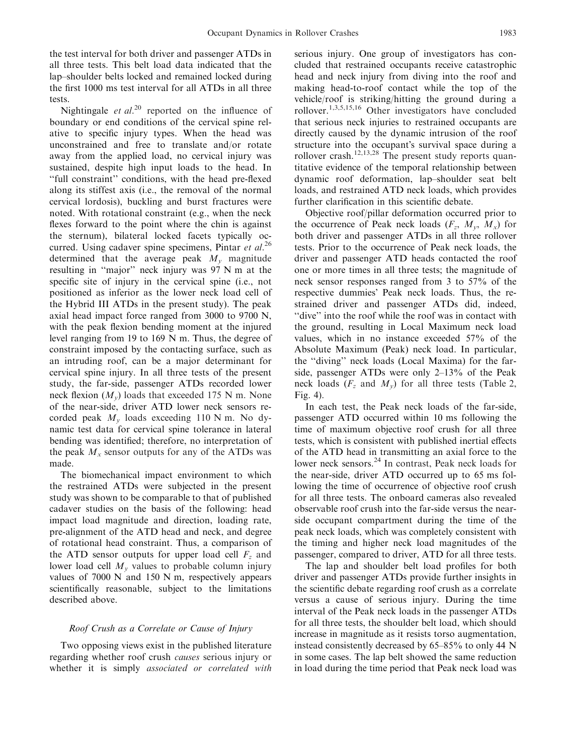the test interval for both driver and passenger ATDs in all three tests. This belt load data indicated that the lap–shoulder belts locked and remained locked during the first 1000 ms test interval for all ATDs in all three tests.

Nightingale *et al.*<sup>20</sup> reported on the influence of boundary or end conditions of the cervical spine relative to specific injury types. When the head was unconstrained and free to translate and/or rotate away from the applied load, no cervical injury was sustained, despite high input loads to the head. In ''full constraint'' conditions, with the head pre-flexed along its stiffest axis (i.e., the removal of the normal cervical lordosis), buckling and burst fractures were noted. With rotational constraint (e.g., when the neck flexes forward to the point where the chin is against the sternum), bilateral locked facets typically occurred. Using cadaver spine specimens, Pintar et  $al$ .<sup>26</sup> determined that the average peak  $M_{v}$  magnitude resulting in ''major'' neck injury was 97 N m at the specific site of injury in the cervical spine (i.e., not positioned as inferior as the lower neck load cell of the Hybrid III ATDs in the present study). The peak axial head impact force ranged from 3000 to 9700 N, with the peak flexion bending moment at the injured level ranging from 19 to 169 N m. Thus, the degree of constraint imposed by the contacting surface, such as an intruding roof, can be a major determinant for cervical spine injury. In all three tests of the present study, the far-side, passenger ATDs recorded lower neck flexion  $(M_v)$  loads that exceeded 175 N m. None of the near-side, driver ATD lower neck sensors recorded peak  $M_v$  loads exceeding 110 N m. No dynamic test data for cervical spine tolerance in lateral bending was identified; therefore, no interpretation of the peak  $M<sub>x</sub>$  sensor outputs for any of the ATDs was made.

The biomechanical impact environment to which the restrained ATDs were subjected in the present study was shown to be comparable to that of published cadaver studies on the basis of the following: head impact load magnitude and direction, loading rate, pre-alignment of the ATD head and neck, and degree of rotational head constraint. Thus, a comparison of the ATD sensor outputs for upper load cell  $F<sub>z</sub>$  and lower load cell  $M_{v}$  values to probable column injury values of  $7000 \text{ N}$  and  $150 \text{ N}$  m, respectively appears scientifically reasonable, subject to the limitations described above.

### Roof Crush as a Correlate or Cause of Injury

Two opposing views exist in the published literature regarding whether roof crush causes serious injury or whether it is simply *associated or correlated with* 

serious injury. One group of investigators has concluded that restrained occupants receive catastrophic head and neck injury from diving into the roof and making head-to-roof contact while the top of the vehicle/roof is striking/hitting the ground during a rollover.1,3,5,15,16 Other investigators have concluded that serious neck injuries to restrained occupants are directly caused by the dynamic intrusion of the roof structure into the occupant's survival space during a rollover crash.<sup>12,13,28</sup> The present study reports quantitative evidence of the temporal relationship between dynamic roof deformation, lap–shoulder seat belt loads, and restrained ATD neck loads, which provides further clarification in this scientific debate.

Objective roof/pillar deformation occurred prior to the occurrence of Peak neck loads  $(F_z, M_y, M_x)$  for both driver and passenger ATDs in all three rollover tests. Prior to the occurrence of Peak neck loads, the driver and passenger ATD heads contacted the roof one or more times in all three tests; the magnitude of neck sensor responses ranged from 3 to 57% of the respective dummies' Peak neck loads. Thus, the restrained driver and passenger ATDs did, indeed, ''dive'' into the roof while the roof was in contact with the ground, resulting in Local Maximum neck load values, which in no instance exceeded 57% of the Absolute Maximum (Peak) neck load. In particular, the ''diving'' neck loads (Local Maxima) for the farside, passenger ATDs were only 2–13% of the Peak neck loads ( $F_z$  and  $M_v$ ) for all three tests (Table 2, Fig. 4).

In each test, the Peak neck loads of the far-side, passenger ATD occurred within 10 ms following the time of maximum objective roof crush for all three tests, which is consistent with published inertial effects of the ATD head in transmitting an axial force to the lower neck sensors.<sup>24</sup> In contrast, Peak neck loads for the near-side, driver ATD occurred up to 65 ms following the time of occurrence of objective roof crush for all three tests. The onboard cameras also revealed observable roof crush into the far-side versus the nearside occupant compartment during the time of the peak neck loads, which was completely consistent with the timing and higher neck load magnitudes of the passenger, compared to driver, ATD for all three tests.

The lap and shoulder belt load profiles for both driver and passenger ATDs provide further insights in the scientific debate regarding roof crush as a correlate versus a cause of serious injury. During the time interval of the Peak neck loads in the passenger ATDs for all three tests, the shoulder belt load, which should increase in magnitude as it resists torso augmentation, instead consistently decreased by 65–85% to only 44 N in some cases. The lap belt showed the same reduction in load during the time period that Peak neck load was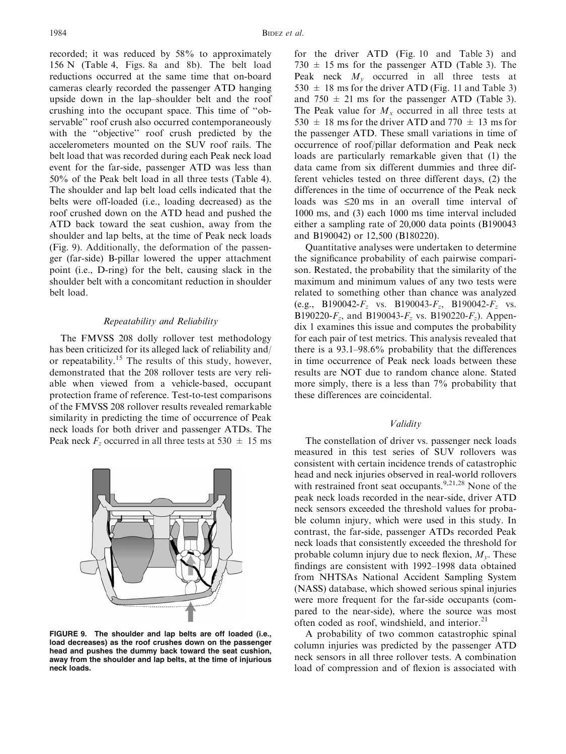recorded; it was reduced by 58% to approximately 156 N (Table 4, Figs. 8a and 8b). The belt load reductions occurred at the same time that on-board cameras clearly recorded the passenger ATD hanging upside down in the lap–shoulder belt and the roof crushing into the occupant space. This time of ''observable'' roof crush also occurred contemporaneously with the ''objective'' roof crush predicted by the accelerometers mounted on the SUV roof rails. The belt load that was recorded during each Peak neck load event for the far-side, passenger ATD was less than 50% of the Peak belt load in all three tests (Table 4). The shoulder and lap belt load cells indicated that the belts were off-loaded (i.e., loading decreased) as the roof crushed down on the ATD head and pushed the ATD back toward the seat cushion, away from the shoulder and lap belts, at the time of Peak neck loads (Fig. 9). Additionally, the deformation of the passenger (far-side) B-pillar lowered the upper attachment point (i.e., D-ring) for the belt, causing slack in the shoulder belt with a concomitant reduction in shoulder belt load.

## Repeatability and Reliability

The FMVSS 208 dolly rollover test methodology has been criticized for its alleged lack of reliability and/ or repeatability.<sup>15</sup> The results of this study, however, demonstrated that the 208 rollover tests are very reliable when viewed from a vehicle-based, occupant protection frame of reference. Test-to-test comparisons of the FMVSS 208 rollover results revealed remarkable similarity in predicting the time of occurrence of Peak neck loads for both driver and passenger ATDs. The Peak neck  $F_z$  occurred in all three tests at 530  $\pm$  15 ms



FIGURE 9. The shoulder and lap belts are off loaded (i.e., load decreases) as the roof crushes down on the passenger head and pushes the dummy back toward the seat cushion, away from the shoulder and lap belts, at the time of injurious neck loads.

for the driver ATD (Fig. 10 and Table 3) and  $730 \pm 15$  ms for the passenger ATD (Table 3). The Peak neck  $M_v$  occurred in all three tests at  $530 \pm 18$  ms for the driver ATD (Fig. 11 and Table 3) and  $750 \pm 21$  ms for the passenger ATD (Table 3). The Peak value for  $M_x$  occurred in all three tests at 530  $\pm$  18 ms for the driver ATD and 770  $\pm$  13 ms for the passenger ATD. These small variations in time of occurrence of roof/pillar deformation and Peak neck loads are particularly remarkable given that (1) the data came from six different dummies and three different vehicles tested on three different days, (2) the differences in the time of occurrence of the Peak neck loads was  $\leq 20$  ms in an overall time interval of 1000 ms, and (3) each 1000 ms time interval included either a sampling rate of 20,000 data points (B190043 and B190042) or 12,500 (B180220).

Quantitative analyses were undertaken to determine the significance probability of each pairwise comparison. Restated, the probability that the similarity of the maximum and minimum values of any two tests were related to something other than chance was analyzed (e.g., B190042- $F_z$  vs. B190043- $F_z$ , B190042- $F_z$  vs. B190220- $F_z$ , and B190043- $F_z$  vs. B190220- $F_z$ ). Appendix 1 examines this issue and computes the probability for each pair of test metrics. This analysis revealed that there is a 93.1–98.6% probability that the differences in time occurrence of Peak neck loads between these results are NOT due to random chance alone. Stated more simply, there is a less than 7% probability that these differences are coincidental.

## Validity

The constellation of driver vs. passenger neck loads measured in this test series of SUV rollovers was consistent with certain incidence trends of catastrophic head and neck injuries observed in real-world rollovers with restrained front seat occupants.<sup>9,21,28</sup> None of the peak neck loads recorded in the near-side, driver ATD neck sensors exceeded the threshold values for probable column injury, which were used in this study. In contrast, the far-side, passenger ATDs recorded Peak neck loads that consistently exceeded the threshold for probable column injury due to neck flexion,  $M_{\nu}$ . These findings are consistent with 1992–1998 data obtained from NHTSAs National Accident Sampling System (NASS) database, which showed serious spinal injuries were more frequent for the far-side occupants (compared to the near-side), where the source was most often coded as roof, windshield, and interior.<sup>21</sup>

A probability of two common catastrophic spinal column injuries was predicted by the passenger ATD neck sensors in all three rollover tests. A combination load of compression and of flexion is associated with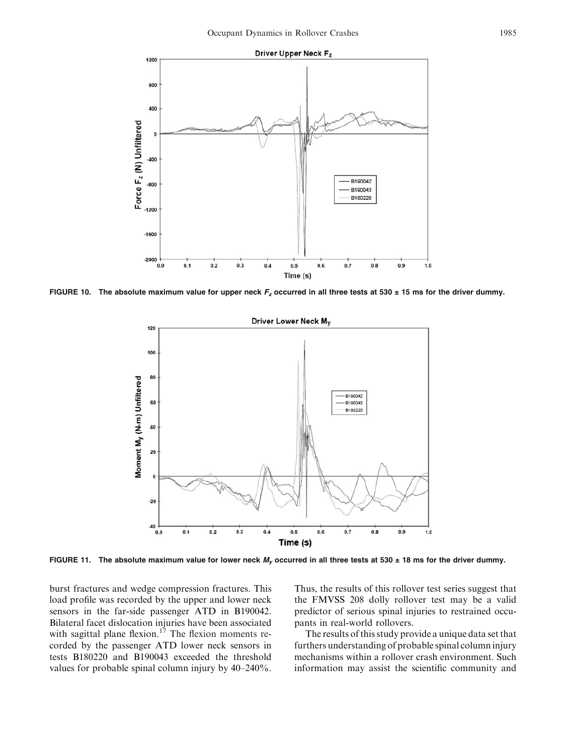

FIGURE 10. The absolute maximum value for upper neck  $F_z$  occurred in all three tests at 530  $\pm$  15 ms for the driver dummy.



FIGURE 11. The absolute maximum value for lower neck  $M_v$  occurred in all three tests at 530  $\pm$  18 ms for the driver dummy.

burst fractures and wedge compression fractures. This load profile was recorded by the upper and lower neck sensors in the far-side passenger ATD in B190042. Bilateral facet dislocation injuries have been associated with sagittal plane flexion.<sup>17</sup> The flexion moments recorded by the passenger ATD lower neck sensors in tests B180220 and B190043 exceeded the threshold values for probable spinal column injury by 40–240%.

Thus, the results of this rollover test series suggest that the FMVSS 208 dolly rollover test may be a valid predictor of serious spinal injuries to restrained occupants in real-world rollovers.

The results of this study provide a unique data set that furthers understanding of probable spinal column injury mechanisms within a rollover crash environment. Such information may assist the scientific community and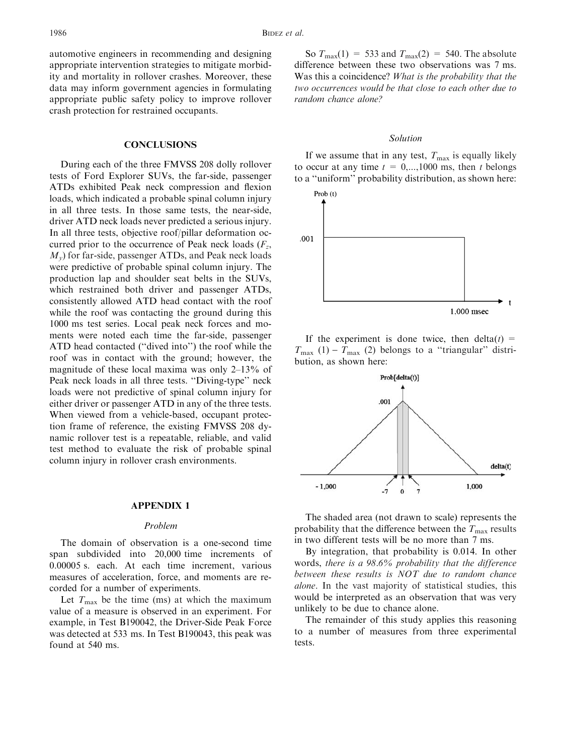automotive engineers in recommending and designing appropriate intervention strategies to mitigate morbidity and mortality in rollover crashes. Moreover, these data may inform government agencies in formulating appropriate public safety policy to improve rollover crash protection for restrained occupants.

#### **CONCLUSIONS**

During each of the three FMVSS 208 dolly rollover tests of Ford Explorer SUVs, the far-side, passenger ATDs exhibited Peak neck compression and flexion loads, which indicated a probable spinal column injury in all three tests. In those same tests, the near-side, driver ATD neck loads never predicted a serious injury. In all three tests, objective roof/pillar deformation occurred prior to the occurrence of Peak neck loads  $(F_z,$  $M_{v}$ ) for far-side, passenger ATDs, and Peak neck loads were predictive of probable spinal column injury. The production lap and shoulder seat belts in the SUVs, which restrained both driver and passenger ATDs, consistently allowed ATD head contact with the roof while the roof was contacting the ground during this 1000 ms test series. Local peak neck forces and moments were noted each time the far-side, passenger ATD head contacted (''dived into'') the roof while the roof was in contact with the ground; however, the magnitude of these local maxima was only 2–13% of Peak neck loads in all three tests. ''Diving-type'' neck loads were not predictive of spinal column injury for either driver or passenger ATD in any of the three tests. When viewed from a vehicle-based, occupant protection frame of reference, the existing FMVSS 208 dynamic rollover test is a repeatable, reliable, and valid test method to evaluate the risk of probable spinal column injury in rollover crash environments.

## APPENDIX 1

### Problem

The domain of observation is a one-second time span subdivided into 20,000 time increments of 0.00005 s. each. At each time increment, various measures of acceleration, force, and moments are recorded for a number of experiments.

Let  $T_{\text{max}}$  be the time (ms) at which the maximum value of a measure is observed in an experiment. For example, in Test B190042, the Driver-Side Peak Force was detected at 533 ms. In Test B190043, this peak was found at 540 ms.

So  $T_{\text{max}}(1) = 533$  and  $T_{\text{max}}(2) = 540$ . The absolute difference between these two observations was 7 ms. Was this a coincidence? What is the probability that the two occurrences would be that close to each other due to random chance alone?

#### Solution

If we assume that in any test,  $T_{\text{max}}$  is equally likely to occur at any time  $t = 0,...,1000$  ms, then t belongs to a ''uniform'' probability distribution, as shown here:



If the experiment is done twice, then delta $(t)$  =  $T_{\text{max}}$  (1) -  $T_{\text{max}}$  (2) belongs to a "triangular" distribution, as shown here:



The shaded area (not drawn to scale) represents the probability that the difference between the  $T_{\text{max}}$  results in two different tests will be no more than 7 ms.

By integration, that probability is 0.014. In other words, there is a 98.6% probability that the difference between these results is NOT due to random chance alone. In the vast majority of statistical studies, this would be interpreted as an observation that was very unlikely to be due to chance alone.

The remainder of this study applies this reasoning to a number of measures from three experimental tests.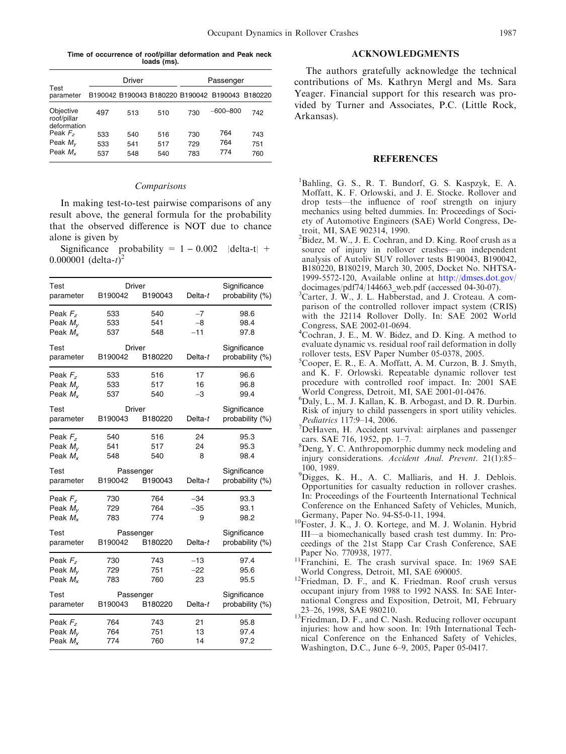Time of occurrence of roof/pillar deformation and Peak neck loads (ms).

|                                                 |                   | Driver            |                   |                   | Passenger                                       |                   |
|-------------------------------------------------|-------------------|-------------------|-------------------|-------------------|-------------------------------------------------|-------------------|
| Test<br>parameter                               |                   |                   |                   |                   | B190042 B190043 B180220 B190042 B190043 B180220 |                   |
| Objective<br>roof/pillar<br>deformation         | 497               | 513               | 510               | 730               | $-600 - 800$                                    | 742               |
| Peak $Fz$<br>Peak $M_{\rm v}$<br>Peak $M_{\nu}$ | 533<br>533<br>537 | 540<br>541<br>548 | 516<br>517<br>540 | 730<br>729<br>783 | 764<br>764<br>774                               | 743<br>751<br>760 |

#### Comparisons

In making test-to-test pairwise comparisons of any result above, the general formula for the probability that the observed difference is NOT due to chance alone is given by

Significance probability =  $1 - 0.002$  |delta-t| + 0.000001 (delta- $t^{\hat{j}^2}$ 

| Test<br>parameter                             | B190042           | Driver<br>B190043    | Delta-t               | Significance<br>probability (%) |
|-----------------------------------------------|-------------------|----------------------|-----------------------|---------------------------------|
| Peak $F_z$<br>Peak $M_{\nu}$<br>Peak $M_{x}$  | 533<br>533<br>537 | 540<br>541<br>548    | $-7$<br>$-8$<br>$-11$ | 98.6<br>98.4<br>97.8            |
| Test<br>parameter                             | B190042           | Driver<br>B180220    | Delta- $t$            | Significance<br>probability (%) |
| Peak $Fz$<br>Peak $M_{\rm v}$<br>Peak $M_{x}$ | 533<br>533<br>537 | 516<br>517<br>540    | 17<br>16<br>$-3$      | 96.6<br>96.8<br>99.4            |
| Test<br>parameter                             | B190043           | Driver<br>B180220    | Delta- $t$            | Significance<br>probability (%) |
| Peak $Fz$<br>Peak $M_{V}$<br>Peak $M_{x}$     | 540<br>541<br>548 | 516<br>517<br>540    | 24<br>24<br>8         | 95.3<br>95.3<br>98.4            |
|                                               |                   |                      |                       |                                 |
| Test<br>parameter                             | B190042           | Passenger<br>B190043 | Delta- $t$            | Significance<br>probability (%) |
| Peak $Fz$<br>Peak $M_{V}$<br>Peak $M_{x}$     | 730<br>729<br>783 | 764<br>764<br>774    | $-34$<br>$-35$<br>9   | 93.3<br>93.1<br>98.2            |
| Test<br>parameter                             | B190042           | Passenger<br>B180220 | Delta-t               | Significance<br>probability (%) |
| Peak $Fz$<br>Peak $M_{V}$<br>Peak $M_{x}$     | 730<br>729<br>783 | 743<br>751<br>760    | $-13$<br>$-22$<br>23  | 97.4<br>95.6<br>95.5            |
| Test<br>parameter                             | B190043           | Passenger<br>B180220 | Delta-t               | Significance<br>probability (%) |

# ACKNOWLEDGMENTS

The authors gratefully acknowledge the technical contributions of Ms. Kathryn Mergl and Ms. Sara Yeager. Financial support for this research was provided by Turner and Associates, P.C. (Little Rock, Arkansas).

#### **REFERENCES**

- 1 Bahling, G. S., R. T. Bundorf, G. S. Kaspzyk, E. A. Moffatt, K. F. Orlowski, and J. E. Stocke. Rollover and drop tests—the influence of roof strength on injury mechanics using belted dummies. In: Proceedings of Society of Automotive Engineers (SAE) World Congress, Detroit, MI, SAE 902314, 1990.
- <sup>2</sup>Bidez, M. W., J. E. Cochran, and D. King. Roof crush as a source of injury in rollover crashes—an independent analysis of Autoliv SUV rollover tests B190043, B190042, B180220, B180219, March 30, 2005, Docket No. NHTSA-1999-5572-120, Available online at [http://dmses.dot.gov/](http://dmses.dot.gov/docimages/pdf74/144663_web.pdf) [docimages/pdf74/144663\\_web.pdf](http://dmses.dot.gov/docimages/pdf74/144663_web.pdf) (accessed 04-30-07).
- <sup>3</sup>Carter, J. W., J. L. Habberstad, and J. Croteau. A comparison of the controlled rollover impact system (CRIS) with the J2114 Rollover Dolly. In: SAE 2002 World Congress, SAE 2002-01-0694.
- 4 Cochran, J. E., M. W. Bidez, and D. King. A method to evaluate dynamic vs. residual roof rail deformation in dolly rollover tests, ESV Paper Number 05-0378, 2005.
- 5 Cooper, E. R., E. A. Moffatt, A. M. Curzon, B. J. Smyth, and K. F. Orlowski. Repeatable dynamic rollover test procedure with controlled roof impact. In: 2001 SAE World Congress, Detroit, MI, SAE 2001-01-0476.
- 6 Daly, L., M. J. Kallan, K. B. Arbogast, and D. R. Durbin. Risk of injury to child passengers in sport utility vehicles. Pediatrics 117:9-14, 2006.
- $\sqrt{D}$ eHaven, H. Accident survival: airplanes and passenger cars. SAE 716, 1952, pp. 1–7.
- 8 Deng, Y. C. Anthropomorphic dummy neck modeling and injury considerations. Accident Anal. Prevent. 21(1):85– 100, 1989.
- <sup>9</sup>Digges, K. H., A. C. Malliaris, and H. J. Deblois. Opportunities for casualty reduction in rollover crashes. In: Proceedings of the Fourteenth International Technical Conference on the Enhanced Safety of Vehicles, Munich,
- Germany, Paper No. 94-S5-0-11, 1994.<br><sup>10</sup>Foster, J. K., J. O. Kortege, and M. J. Wolanin. Hybrid III—a biomechanically based crash test dummy. In: Proceedings of the 21st Stapp Car Crash Conference, SAE
- Paper No. 770938, 1977.<br><sup>11</sup>Franchini, E. The crash survival space. In: 1969 SAE
- World Congress, Detroit, MI, SAE 690005.<br><sup>12</sup>Friedman, D. F., and K. Friedman. Roof crush versus occupant injury from 1988 to 1992 NASS. In: SAE International Congress and Exposition, Detroit, MI, February
- 23–26, 1998, SAE 980210. 13Friedman, D. F., and C. Nash. Reducing rollover occupant injuries: how and how soon. In: 19th International Technical Conference on the Enhanced Safety of Vehicles, Washington, D.C., June 6–9, 2005, Paper 05-0417.